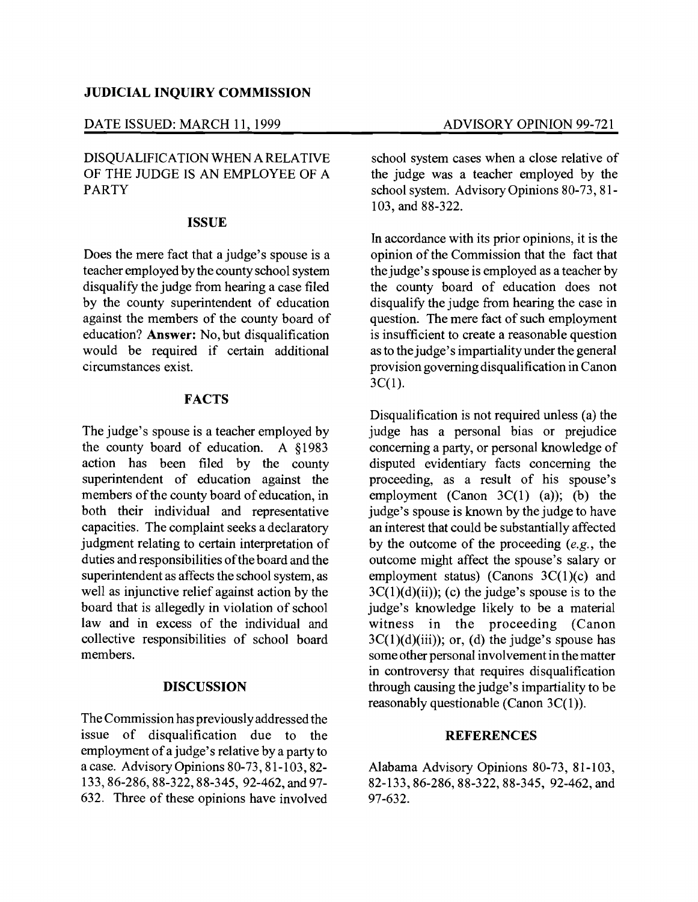### **JUDICIAL INQUIRY COMMISSION**

#### DATE ISSUED: MARCH 11, 1999 ADVISORY OPINION 99-721

# DISQUALIFICATION WHEN A RELATIVE OF THE JUDGE IS AN EMPLOYEE OF A PARTY

#### **ISSUE**

Does the mere fact that a judge's spouse is a teacher employed by the county school system disqualify the judge from hearing a case filed by the county superintendent of education against the members of the county board of education? **Answer:** No, but disqualification would be required if certain additional circumstances exist.

## **FACTS**

The judge's spouse is a teacher employed by the county board of education. A §1983 action has been filed by the county superintendent of education against the members of the county board of education, in both their individual and representative capacities. The complaint seeks a declaratory judgment relating to certain interpretation of duties and responsibilities of the board and the superintendent as affects the school system, as well as injunctive relief against action by the board that is allegedly in violation of school law and in excess of the individual and collective responsibilities of school board members.

#### **DISCUSSION**

The Commission has previously addressed the issue of disqualification due to the employment of a judge's relative by a party to a case. Advisory Opinions 80-73, 81-103,82 133,86-286,88-322,88-345, 92-462, and 97 632. Three of these opinions have involved

school system cases when a close relative of the judge was a teacher employed by the school system. Advisory Opinions 80-73, 81 103, and 88-322.

In accordance with its prior opinions, it is the opinion of the Commission that the fact that the judge's spouse is employed as a teacher by the county board of education does not disqualify the judge from hearing the case in question. The mere fact of such employment is insufficient to create a reasonable question as to the judge's impartiality under the general provision governing disqualification in Canon  $3C(1)$ .

Disqualification is not required unless (a) the judge has a personal bias or prejudice concerning a party, or personal knowledge of disputed evidentiary facts concerning the proceeding, as a result of his spouse's employment (Canon  $3C(1)$  (a)); (b) the judge's spouse is known by the judge to have an interest that could be substantially affected by the outcome of the proceeding *(e.g.,* the outcome might affect the spouse's salary or employment status) (Canons  $3C(1)(c)$  and  $3C(1)(d)(ii)$ ; (c) the judge's spouse is to the judge's knowledge likely to be a material witness in the proceeding (Canon  $3C(1)(d)(iii)$ ; or, (d) the judge's spouse has some other personal involvement in the matter in controversy that requires disqualification through causing the judge's impartiality to be reasonably questionable (Canon 3C(1)).

#### **REFERENCES**

Alabama Advisory Opinions 80-73, 81-103, 82-133,86-286,88-322,88-345, 92-462, and 97-632.